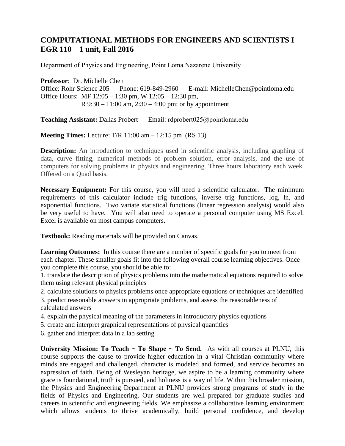## **COMPUTATIONAL METHODS FOR ENGINEERS AND SCIENTISTS I EGR 110 – 1 unit, Fall 2016**

Department of Physics and Engineering, Point Loma Nazarene University

**Professor**: Dr. Michelle Chen Office: Rohr Science 205 Phone: 619-849-2960 E-mail: MichelleChen@pointloma.edu Office Hours: MF 12:05 – 1:30 pm, W 12:05 – 12:30 pm, R  $9:30 - 11:00$  am,  $2:30 - 4:00$  pm; or by appointment

**Teaching Assistant:** Dallas Probert Email: rdprobert025@pointloma.edu

**Meeting Times:** Lecture: T/R 11:00 am – 12:15 pm (RS 13)

**Description:** An introduction to techniques used in scientific analysis, including graphing of data, curve fitting, numerical methods of problem solution, error analysis, and the use of computers for solving problems in physics and engineering. Three hours laboratory each week. Offered on a Quad basis.

**Necessary Equipment:** For this course, you will need a scientific calculator. The minimum requirements of this calculator include trig functions, inverse trig functions, log, ln, and exponential functions. Two variate statistical functions (linear regression analysis) would also be very useful to have. You will also need to operate a personal computer using MS Excel. Excel is available on most campus computers.

**Textbook:** Reading materials will be provided on Canvas.

**Learning Outcomes:** In this course there are a number of specific goals for you to meet from each chapter. These smaller goals fit into the following overall course learning objectives. Once you complete this course, you should be able to:

1. translate the description of physics problems into the mathematical equations required to solve them using relevant physical principles

2. calculate solutions to physics problems once appropriate equations or techniques are identified

3. predict reasonable answers in appropriate problems, and assess the reasonableness of calculated answers

- 4. explain the physical meaning of the parameters in introductory physics equations
- 5. create and interpret graphical representations of physical quantities

6. gather and interpret data in a lab setting

**University Mission: To Teach ~ To Shape ~ To Send.** As with all courses at PLNU, this course supports the cause to provide higher education in a vital Christian community where minds are engaged and challenged, character is modeled and formed, and service becomes an expression of faith. Being of Wesleyan heritage, we aspire to be a learning community where grace is foundational, truth is pursued, and holiness is a way of life. Within this broader mission, the Physics and Engineering Department at PLNU provides strong programs of study in the fields of Physics and Engineering. Our students are well prepared for graduate studies and careers in scientific and engineering fields. We emphasize a collaborative learning environment which allows students to thrive academically, build personal confidence, and develop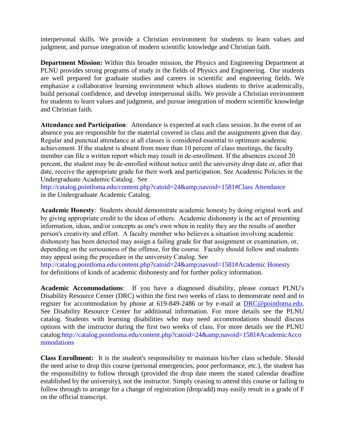interpersonal skills. We provide a Christian environment for students to learn values and judgment, and pursue integration of modern scientific knowledge and Christian faith.

**Department Mission:** Within this broader mission, the Physics and Engineering Department at PLNU provides strong programs of study in the fields of Physics and Engineering. Our students are well prepared for graduate studies and careers in scientific and engineering fields. We emphasize a collaborative learning environment which allows students to thrive academically, build personal confidence, and develop interpersonal skills. We provide a Christian environment for students to learn values and judgment, and pursue integration of modern scientific knowledge and Christian faith.

**Attendance and Participation**: Attendance is expected at each class session. In the event of an absence you are responsible for the material covered in class and the assignments given that day. Regular and punctual attendance at all classes is considered essential to optimum academic achievement. If the student is absent from more than 10 percent of class meetings, the faculty member can file a written report which may result in de-enrollment. If the absences exceed 20 percent, the student may be de-enrolled without notice until the university drop date or, after that date, receive the appropriate grade for their work and participation. See Academic Policies in the Undergraduate Academic Catalog. See

http://catalog.pointloma.edu/content.php?catoid=24&navoid=1581#Class Attendance in the Undergraduate Academic Catalog.

**Academic Honesty**: Students should demonstrate academic honesty by doing original work and by giving appropriate credit to the ideas of others. Academic dishonesty is the act of presenting information, ideas, and/or concepts as one's own when in reality they are the results of another person's creativity and effort. A faculty member who believes a situation involving academic dishonesty has been detected may assign a failing grade for that assignment or examination, or, depending on the seriousness of the offense, for the course. Faculty should follow and students may appeal using the procedure in the university Catalog. See http://catalog.pointloma.edu/content.php?catoid=24&navoid=1581#Academic Honesty

for definitions of kinds of academic dishonesty and for further policy information.

**Academic Accommodations**: If you have a diagnosed disability, please contact PLNU's Disability Resource Center (DRC) within the first two weeks of class to demonstrate need and to register for accommodation by phone at 619-849-2486 or by e-mail at [DRC@pointloma.edu.](mailto:DRC@pointloma.edu) See Disability Resource Center for additional information. For more details see the PLNU catalog. Students with learning disabilities who may need accommodations should discuss options with the instructor during the first two weeks of class. For more details see the PLNU catalog:http://catalog.pointloma.edu/content.php?catoid=24&navoid=1581#AcademicAcco mmodations

**Class Enrollment:** It is the student's responsibility to maintain his/her class schedule. Should the need arise to drop this course (personal emergencies, poor performance, etc.), the student has the responsibility to follow through (provided the drop date meets the stated calendar deadline established by the university), not the instructor. Simply ceasing to attend this course or failing to follow through to arrange for a change of registration (drop/add) may easily result in a grade of F on the official transcript.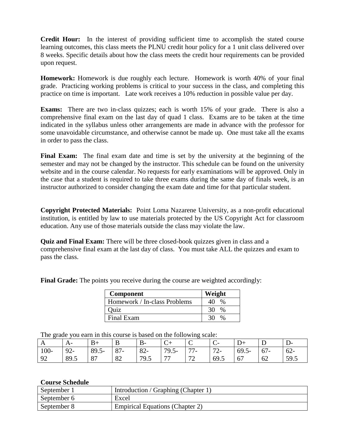**Credit Hour:** In the interest of providing sufficient time to accomplish the stated course learning outcomes, this class meets the PLNU credit hour policy for a 1 unit class delivered over 8 weeks. Specific details about how the class meets the credit hour requirements can be provided upon request.

**Homework:** Homework is due roughly each lecture. Homework is worth 40% of your final grade. Practicing working problems is critical to your success in the class, and completing this practice on time is important. Late work receives a 10% reduction in possible value per day.

**Exams:** There are two in-class quizzes; each is worth 15% of your grade. There is also a comprehensive final exam on the last day of quad 1 class. Exams are to be taken at the time indicated in the syllabus unless other arrangements are made in advance with the professor for some unavoidable circumstance, and otherwise cannot be made up. One must take all the exams in order to pass the class.

**Final Exam:** The final exam date and time is set by the university at the beginning of the semester and may not be changed by the instructor. This schedule can be found on the university website and in the course calendar. No requests for early examinations will be approved. Only in the case that a student is required to take three exams during the same day of finals week, is an instructor authorized to consider changing the exam date and time for that particular student.

**Copyright Protected Materials:** Point Loma Nazarene University, as a non-profit educational institution, is entitled by law to use materials protected by the US Copyright Act for classroom education. Any use of those materials outside the class may violate the law.

**Quiz and Final Exam:** There will be three closed-book quizzes given in class and a comprehensive final exam at the last day of class. You must take ALL the quizzes and exam to pass the class.

> **Component Weight** Homework / In-class Problems  $\parallel$  40 % Quiz 30 % Final Exam 30 %

**Final Grade:** The points you receive during the course are weighted accordingly:

The grade you earn in this course is based on the following scale:

| A       |       | $B+$     | B     |        | $\mathsf{C}^+$ | ◡           | $\mathsf{C}^-$ | $D+$     |        | D-     |
|---------|-------|----------|-------|--------|----------------|-------------|----------------|----------|--------|--------|
| $100 -$ | $92-$ | $89.5 -$ | $87-$ | $82 -$ | $79.5 -$       | 77<br>, , . | $72-$          | $69.5 -$ | $67 -$ | $62 -$ |
| 92      | 89.5  | 87       | 82    | 79.5   | 77             | 70<br>12    | 69.5           | 67       | 62     | 59.5   |

## **Course Schedule**

| September 1 | Introduction / Graphing (Chapter 1)    |
|-------------|----------------------------------------|
| September 6 | Excel                                  |
| September 8 | <b>Empirical Equations (Chapter 2)</b> |